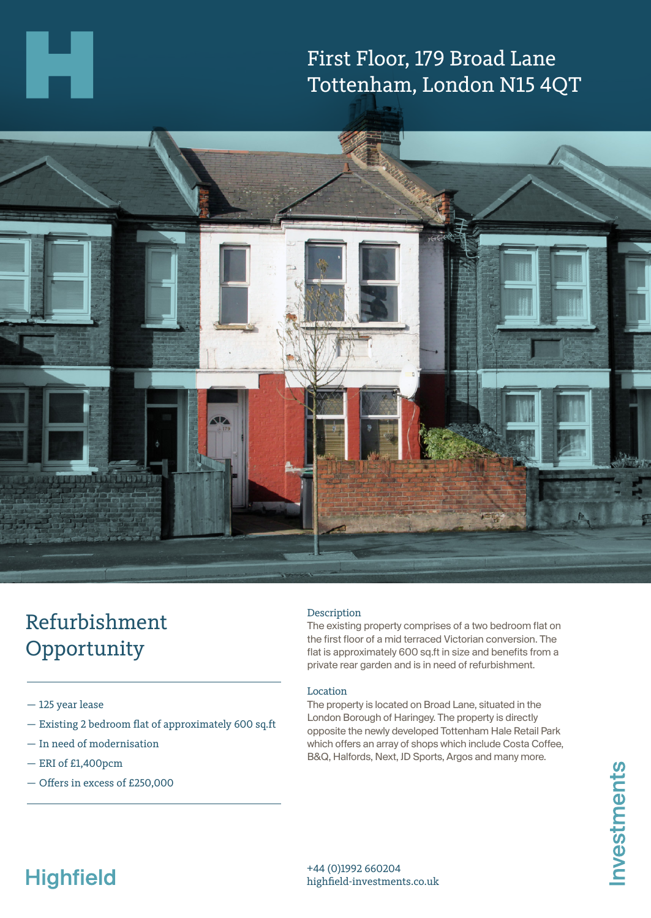## First Floor, 179 Broad Lane Tottenham, London N15 4QT



## Refurbishment Opportunity

- 125 year lease
- Existing 2 bedroom flat of approximately 600 sq.ft
- In need of modernisation
- ERI of £1,400pcm
- Offers in excess of £250,000

### Description

The existing property comprises of a two bedroom flat on the first floor of a mid terraced Victorian conversion. The flat is approximately 600 sq.ft in size and benefits from a private rear garden and is in need of refurbishment.

#### Location

The property is located on Broad Lane, situated in the London Borough of Haringey. The property is directly opposite the newly developed Tottenham Hale Retail Park which offers an array of shops which include Costa Coffee, B&Q, Halfords, Next, JD Sports, Argos and many more.

# **Highfield**